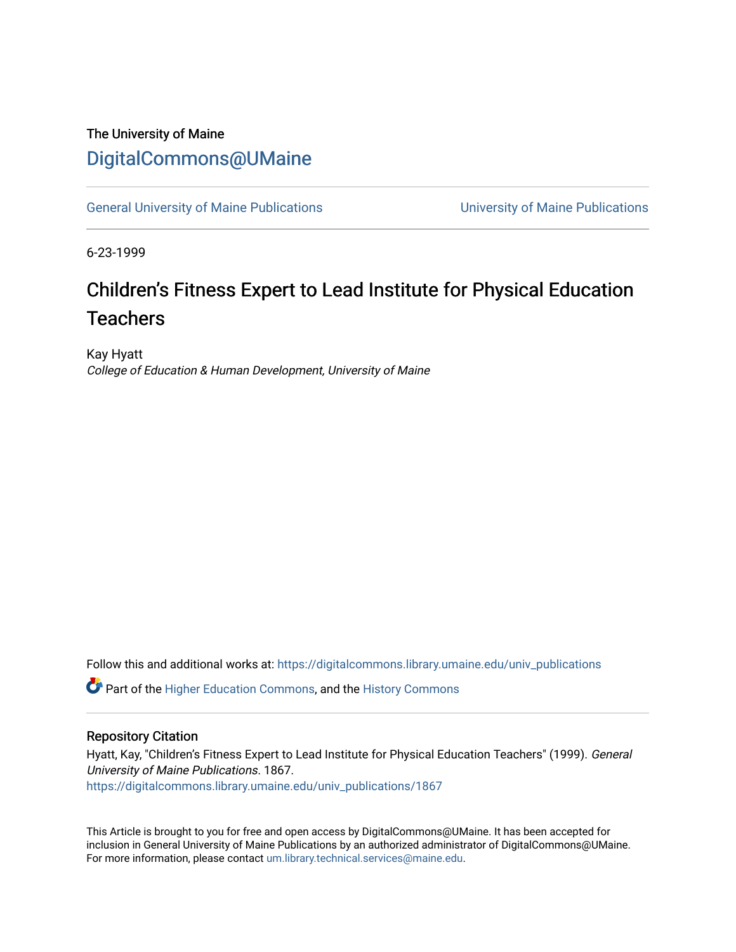### The University of Maine [DigitalCommons@UMaine](https://digitalcommons.library.umaine.edu/)

[General University of Maine Publications](https://digitalcommons.library.umaine.edu/univ_publications) [University of Maine Publications](https://digitalcommons.library.umaine.edu/umaine_publications) 

6-23-1999

# Children's Fitness Expert to Lead Institute for Physical Education **Teachers**

Kay Hyatt College of Education & Human Development, University of Maine

Follow this and additional works at: [https://digitalcommons.library.umaine.edu/univ\\_publications](https://digitalcommons.library.umaine.edu/univ_publications?utm_source=digitalcommons.library.umaine.edu%2Funiv_publications%2F1867&utm_medium=PDF&utm_campaign=PDFCoverPages) 

**C** Part of the [Higher Education Commons,](http://network.bepress.com/hgg/discipline/1245?utm_source=digitalcommons.library.umaine.edu%2Funiv_publications%2F1867&utm_medium=PDF&utm_campaign=PDFCoverPages) and the [History Commons](http://network.bepress.com/hgg/discipline/489?utm_source=digitalcommons.library.umaine.edu%2Funiv_publications%2F1867&utm_medium=PDF&utm_campaign=PDFCoverPages)

#### Repository Citation

Hyatt, Kay, "Children's Fitness Expert to Lead Institute for Physical Education Teachers" (1999). General University of Maine Publications. 1867. [https://digitalcommons.library.umaine.edu/univ\\_publications/1867](https://digitalcommons.library.umaine.edu/univ_publications/1867?utm_source=digitalcommons.library.umaine.edu%2Funiv_publications%2F1867&utm_medium=PDF&utm_campaign=PDFCoverPages)

This Article is brought to you for free and open access by DigitalCommons@UMaine. It has been accepted for inclusion in General University of Maine Publications by an authorized administrator of DigitalCommons@UMaine. For more information, please contact [um.library.technical.services@maine.edu](mailto:um.library.technical.services@maine.edu).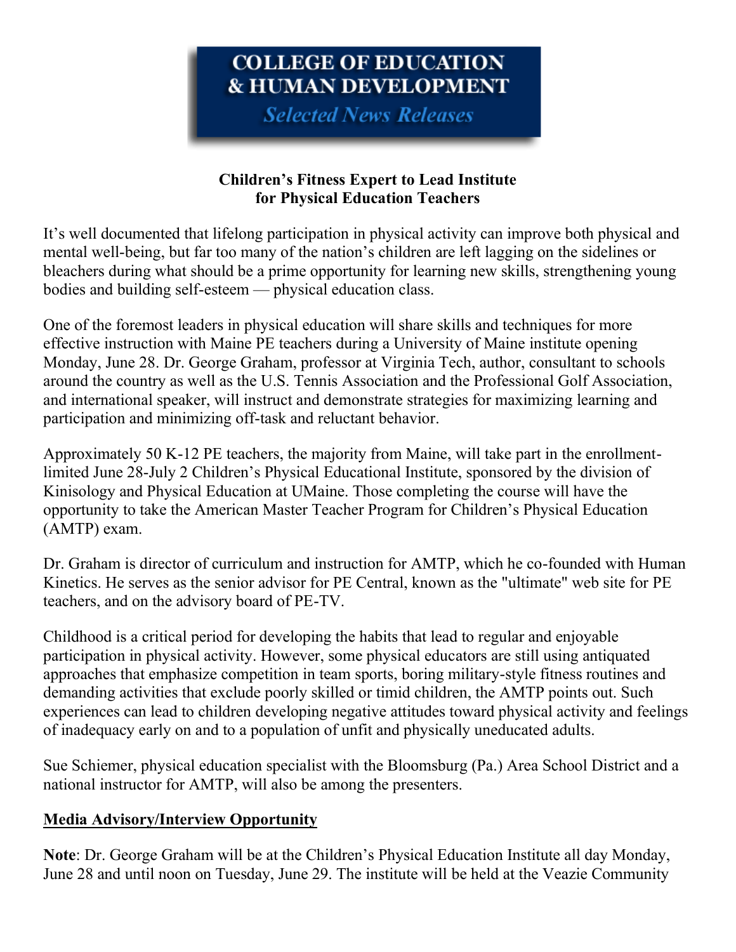## COLLEGE OF EDUCATION **& HUMAN DEVELOPMENT**

**Selected News Releases** 

### **Children's Fitness Expert to Lead Institute for Physical Education Teachers**

It's well documented that lifelong participation in physical activity can improve both physical and mental well-being, but far too many of the nation's children are left lagging on the sidelines or bleachers during what should be a prime opportunity for learning new skills, strengthening young bodies and building self-esteem — physical education class.

One of the foremost leaders in physical education will share skills and techniques for more effective instruction with Maine PE teachers during a University of Maine institute opening Monday, June 28. Dr. George Graham, professor at Virginia Tech, author, consultant to schools around the country as well as the U.S. Tennis Association and the Professional Golf Association, and international speaker, will instruct and demonstrate strategies for maximizing learning and participation and minimizing off-task and reluctant behavior.

Approximately 50 K-12 PE teachers, the majority from Maine, will take part in the enrollmentlimited June 28-July 2 Children's Physical Educational Institute, sponsored by the division of Kinisology and Physical Education at UMaine. Those completing the course will have the opportunity to take the American Master Teacher Program for Children's Physical Education (AMTP) exam.

Dr. Graham is director of curriculum and instruction for AMTP, which he co-founded with Human Kinetics. He serves as the senior advisor for PE Central, known as the "ultimate" web site for PE teachers, and on the advisory board of PE-TV.

Childhood is a critical period for developing the habits that lead to regular and enjoyable participation in physical activity. However, some physical educators are still using antiquated approaches that emphasize competition in team sports, boring military-style fitness routines and demanding activities that exclude poorly skilled or timid children, the AMTP points out. Such experiences can lead to children developing negative attitudes toward physical activity and feelings of inadequacy early on and to a population of unfit and physically uneducated adults.

Sue Schiemer, physical education specialist with the Bloomsburg (Pa.) Area School District and a national instructor for AMTP, will also be among the presenters.

#### **Media Advisory/Interview Opportunity**

**Note**: Dr. George Graham will be at the Children's Physical Education Institute all day Monday, June 28 and until noon on Tuesday, June 29. The institute will be held at the Veazie Community